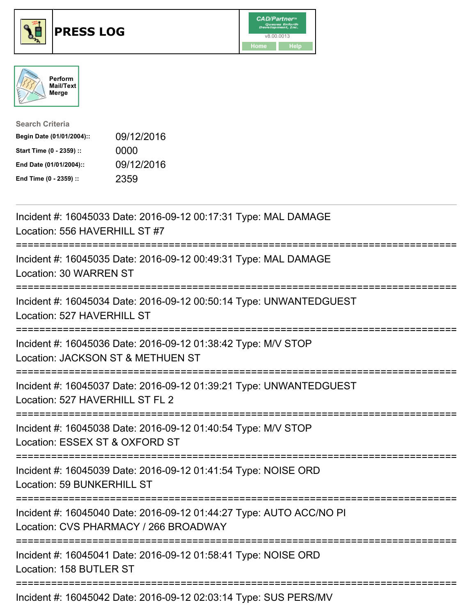





| <b>Search Criteria</b>    |            |
|---------------------------|------------|
| Begin Date (01/01/2004):: | 09/12/2016 |
| Start Time (0 - 2359) ::  | 0000       |
| End Date (01/01/2004)::   | 09/12/2016 |
| End Time (0 - 2359) ::    | 2359       |

| Incident #: 16045033 Date: 2016-09-12 00:17:31 Type: MAL DAMAGE<br>Location: 556 HAVERHILL ST #7                                             |
|----------------------------------------------------------------------------------------------------------------------------------------------|
| Incident #: 16045035 Date: 2016-09-12 00:49:31 Type: MAL DAMAGE<br>Location: 30 WARREN ST                                                    |
| Incident #: 16045034 Date: 2016-09-12 00:50:14 Type: UNWANTEDGUEST<br>Location: 527 HAVERHILL ST                                             |
| Incident #: 16045036 Date: 2016-09-12 01:38:42 Type: M/V STOP<br>Location: JACKSON ST & METHUEN ST                                           |
| Incident #: 16045037 Date: 2016-09-12 01:39:21 Type: UNWANTEDGUEST<br>Location: 527 HAVERHILL ST FL 2                                        |
| Incident #: 16045038 Date: 2016-09-12 01:40:54 Type: M/V STOP<br>Location: ESSEX ST & OXFORD ST                                              |
| :========================<br>:==============<br>Incident #: 16045039 Date: 2016-09-12 01:41:54 Type: NOISE ORD<br>Location: 59 BUNKERHILL ST |
| Incident #: 16045040 Date: 2016-09-12 01:44:27 Type: AUTO ACC/NO PI<br>Location: CVS PHARMACY / 266 BROADWAY                                 |
| Incident #: 16045041 Date: 2016-09-12 01:58:41 Type: NOISE ORD<br>Location: 158 BUTLER ST                                                    |
| ------------------------------------<br>Incident #: 16045042 Date: 2016-09-12 02:03:14 Type: SUS PERS/MV                                     |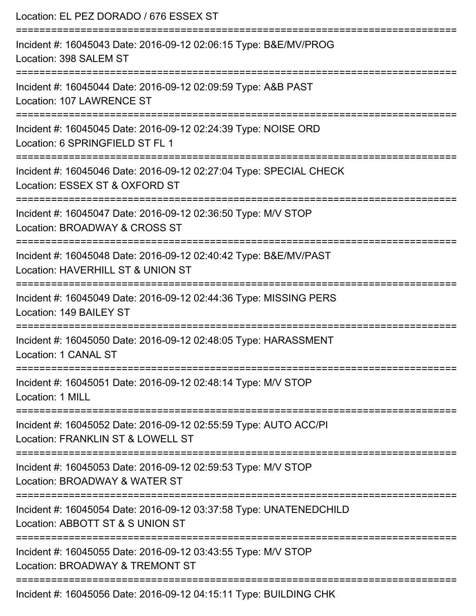| Location: EL PEZ DORADO / 676 ESSEX ST<br>;==========================                                                       |
|-----------------------------------------------------------------------------------------------------------------------------|
| Incident #: 16045043 Date: 2016-09-12 02:06:15 Type: B&E/MV/PROG<br>Location: 398 SALEM ST<br>------------------            |
| Incident #: 16045044 Date: 2016-09-12 02:09:59 Type: A&B PAST<br>Location: 107 LAWRENCE ST                                  |
| Incident #: 16045045 Date: 2016-09-12 02:24:39 Type: NOISE ORD<br>Location: 6 SPRINGFIELD ST FL 1                           |
| Incident #: 16045046 Date: 2016-09-12 02:27:04 Type: SPECIAL CHECK<br>Location: ESSEX ST & OXFORD ST                        |
| Incident #: 16045047 Date: 2016-09-12 02:36:50 Type: M/V STOP<br>Location: BROADWAY & CROSS ST<br>:======================== |
| Incident #: 16045048 Date: 2016-09-12 02:40:42 Type: B&E/MV/PAST<br>Location: HAVERHILL ST & UNION ST                       |
| Incident #: 16045049 Date: 2016-09-12 02:44:36 Type: MISSING PERS<br>Location: 149 BAILEY ST                                |
| Incident #: 16045050 Date: 2016-09-12 02:48:05 Type: HARASSMENT<br>Location: 1 CANAL ST                                     |
| Incident #: 16045051 Date: 2016-09-12 02:48:14 Type: M/V STOP<br><b>Location: 1 MILL</b>                                    |
| Incident #: 16045052 Date: 2016-09-12 02:55:59 Type: AUTO ACC/PI<br>Location: FRANKLIN ST & LOWELL ST                       |
| Incident #: 16045053 Date: 2016-09-12 02:59:53 Type: M/V STOP<br>Location: BROADWAY & WATER ST                              |
| Incident #: 16045054 Date: 2016-09-12 03:37:58 Type: UNATENEDCHILD<br>Location: ABBOTT ST & S UNION ST                      |
| Incident #: 16045055 Date: 2016-09-12 03:43:55 Type: M/V STOP<br>Location: BROADWAY & TREMONT ST                            |
| Incident #: 16045056 Date: 2016-09-12 04:15:11 Type: BUILDING CHK                                                           |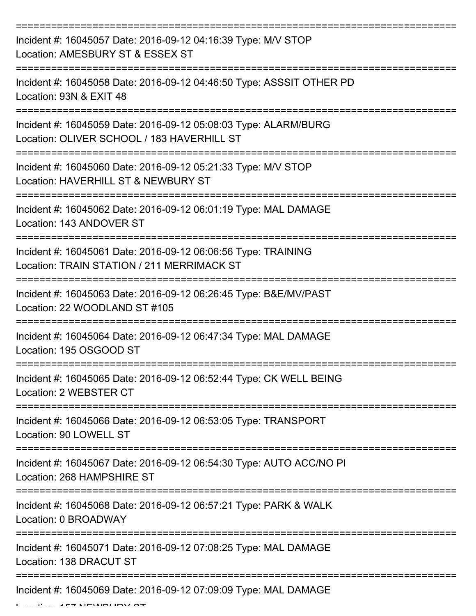| Incident #: 16045057 Date: 2016-09-12 04:16:39 Type: M/V STOP<br>Location: AMESBURY ST & ESSEX ST                                               |
|-------------------------------------------------------------------------------------------------------------------------------------------------|
| Incident #: 16045058 Date: 2016-09-12 04:46:50 Type: ASSSIT OTHER PD<br>Location: 93N & EXIT 48                                                 |
| Incident #: 16045059 Date: 2016-09-12 05:08:03 Type: ALARM/BURG<br>Location: OLIVER SCHOOL / 183 HAVERHILL ST                                   |
| Incident #: 16045060 Date: 2016-09-12 05:21:33 Type: M/V STOP<br>Location: HAVERHILL ST & NEWBURY ST                                            |
| Incident #: 16045062 Date: 2016-09-12 06:01:19 Type: MAL DAMAGE<br>Location: 143 ANDOVER ST                                                     |
| :===============================<br>Incident #: 16045061 Date: 2016-09-12 06:06:56 Type: TRAINING<br>Location: TRAIN STATION / 211 MERRIMACK ST |
| Incident #: 16045063 Date: 2016-09-12 06:26:45 Type: B&E/MV/PAST<br>Location: 22 WOODLAND ST #105                                               |
| Incident #: 16045064 Date: 2016-09-12 06:47:34 Type: MAL DAMAGE<br>Location: 195 OSGOOD ST                                                      |
| Incident #: 16045065 Date: 2016-09-12 06:52:44 Type: CK WELL BEING<br>Location: 2 WEBSTER CT                                                    |
| Incident #: 16045066 Date: 2016-09-12 06:53:05 Type: TRANSPORT<br>Location: 90 LOWELL ST                                                        |
| Incident #: 16045067 Date: 2016-09-12 06:54:30 Type: AUTO ACC/NO PI<br>Location: 268 HAMPSHIRE ST                                               |
| Incident #: 16045068 Date: 2016-09-12 06:57:21 Type: PARK & WALK<br>Location: 0 BROADWAY                                                        |
| Incident #: 16045071 Date: 2016-09-12 07:08:25 Type: MAL DAMAGE<br>Location: 138 DRACUT ST                                                      |
| Incident #: 16045069 Date: 2016-09-12 07:09:09 Type: MAL DAMAGE                                                                                 |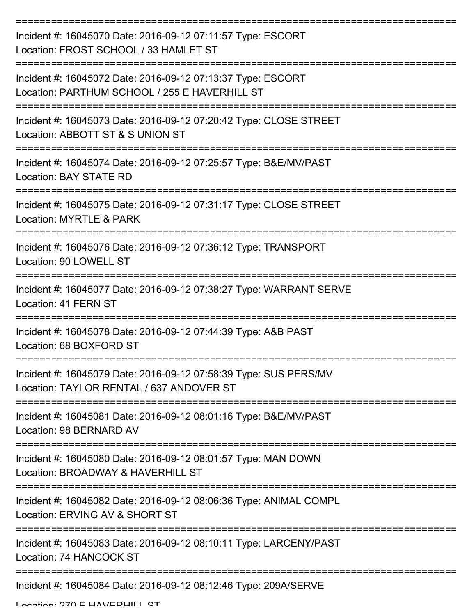| Incident #: 16045070 Date: 2016-09-12 07:11:57 Type: ESCORT<br>Location: FROST SCHOOL / 33 HAMLET ST         |
|--------------------------------------------------------------------------------------------------------------|
| Incident #: 16045072 Date: 2016-09-12 07:13:37 Type: ESCORT<br>Location: PARTHUM SCHOOL / 255 E HAVERHILL ST |
| Incident #: 16045073 Date: 2016-09-12 07:20:42 Type: CLOSE STREET<br>Location: ABBOTT ST & S UNION ST        |
| Incident #: 16045074 Date: 2016-09-12 07:25:57 Type: B&E/MV/PAST<br>Location: BAY STATE RD                   |
| Incident #: 16045075 Date: 2016-09-12 07:31:17 Type: CLOSE STREET<br>Location: MYRTLE & PARK                 |
| Incident #: 16045076 Date: 2016-09-12 07:36:12 Type: TRANSPORT<br>Location: 90 LOWELL ST                     |
| Incident #: 16045077 Date: 2016-09-12 07:38:27 Type: WARRANT SERVE<br>Location: 41 FERN ST                   |
| Incident #: 16045078 Date: 2016-09-12 07:44:39 Type: A&B PAST<br>Location: 68 BOXFORD ST                     |
| Incident #: 16045079 Date: 2016-09-12 07:58:39 Type: SUS PERS/MV<br>Location: TAYLOR RENTAL / 637 ANDOVER ST |
| Incident #: 16045081 Date: 2016-09-12 08:01:16 Type: B&E/MV/PAST<br>Location: 98 BERNARD AV                  |
| Incident #: 16045080 Date: 2016-09-12 08:01:57 Type: MAN DOWN<br>Location: BROADWAY & HAVERHILL ST           |
| Incident #: 16045082 Date: 2016-09-12 08:06:36 Type: ANIMAL COMPL<br>Location: ERVING AV & SHORT ST          |
| Incident #: 16045083 Date: 2016-09-12 08:10:11 Type: LARCENY/PAST<br>Location: 74 HANCOCK ST                 |
| Incident #: 16045084 Date: 2016-09-12 08:12:46 Type: 209A/SERVE                                              |

Location: 270 E HAVEDHILL ST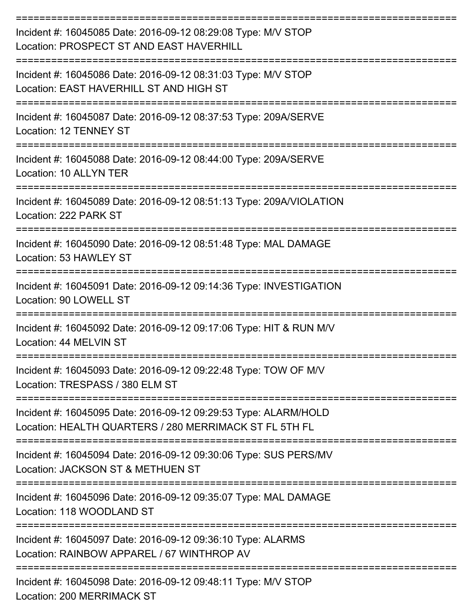| Incident #: 16045085 Date: 2016-09-12 08:29:08 Type: M/V STOP<br>Location: PROSPECT ST AND EAST HAVERHILL                                   |
|---------------------------------------------------------------------------------------------------------------------------------------------|
| Incident #: 16045086 Date: 2016-09-12 08:31:03 Type: M/V STOP<br>Location: EAST HAVERHILL ST AND HIGH ST                                    |
| Incident #: 16045087 Date: 2016-09-12 08:37:53 Type: 209A/SERVE<br>Location: 12 TENNEY ST                                                   |
| Incident #: 16045088 Date: 2016-09-12 08:44:00 Type: 209A/SERVE<br>Location: 10 ALLYN TER                                                   |
| Incident #: 16045089 Date: 2016-09-12 08:51:13 Type: 209A/VIOLATION<br>Location: 222 PARK ST<br>----------------------------<br>----------- |
| Incident #: 16045090 Date: 2016-09-12 08:51:48 Type: MAL DAMAGE<br>Location: 53 HAWLEY ST                                                   |
| Incident #: 16045091 Date: 2016-09-12 09:14:36 Type: INVESTIGATION<br>Location: 90 LOWELL ST                                                |
| Incident #: 16045092 Date: 2016-09-12 09:17:06 Type: HIT & RUN M/V<br>Location: 44 MELVIN ST                                                |
| Incident #: 16045093 Date: 2016-09-12 09:22:48 Type: TOW OF M/V<br>Location: TRESPASS / 380 ELM ST                                          |
| Incident #: 16045095 Date: 2016-09-12 09:29:53 Type: ALARM/HOLD<br>Location: HEALTH QUARTERS / 280 MERRIMACK ST FL 5TH FL                   |
| Incident #: 16045094 Date: 2016-09-12 09:30:06 Type: SUS PERS/MV<br>Location: JACKSON ST & METHUEN ST                                       |
| Incident #: 16045096 Date: 2016-09-12 09:35:07 Type: MAL DAMAGE<br>Location: 118 WOODLAND ST                                                |
| Incident #: 16045097 Date: 2016-09-12 09:36:10 Type: ALARMS<br>Location: RAINBOW APPAREL / 67 WINTHROP AV                                   |
| Incident #: 16045098 Date: 2016-09-12 09:48:11 Type: M/V STOP                                                                               |

Location: 200 MERRIMACK ST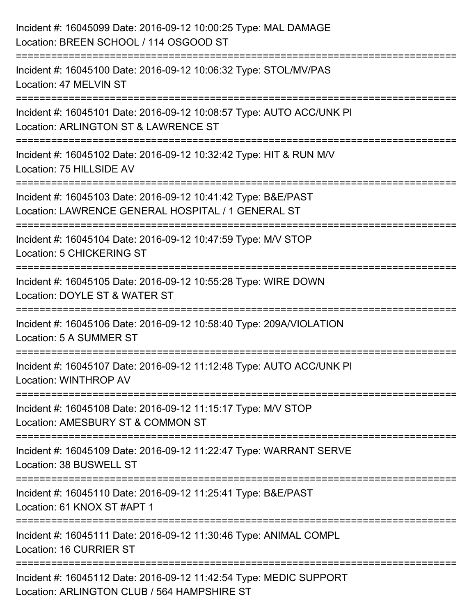| Incident #: 16045099 Date: 2016-09-12 10:00:25 Type: MAL DAMAGE<br>Location: BREEN SCHOOL / 114 OSGOOD ST           |
|---------------------------------------------------------------------------------------------------------------------|
| :====================<br>Incident #: 16045100 Date: 2016-09-12 10:06:32 Type: STOL/MV/PAS<br>Location: 47 MELVIN ST |
| Incident #: 16045101 Date: 2016-09-12 10:08:57 Type: AUTO ACC/UNK PI<br>Location: ARLINGTON ST & LAWRENCE ST        |
| Incident #: 16045102 Date: 2016-09-12 10:32:42 Type: HIT & RUN M/V<br>Location: 75 HILLSIDE AV                      |
| Incident #: 16045103 Date: 2016-09-12 10:41:42 Type: B&E/PAST<br>Location: LAWRENCE GENERAL HOSPITAL / 1 GENERAL ST |
| Incident #: 16045104 Date: 2016-09-12 10:47:59 Type: M/V STOP<br>Location: 5 CHICKERING ST                          |
| Incident #: 16045105 Date: 2016-09-12 10:55:28 Type: WIRE DOWN<br>Location: DOYLE ST & WATER ST                     |
| Incident #: 16045106 Date: 2016-09-12 10:58:40 Type: 209A/VIOLATION<br>Location: 5 A SUMMER ST                      |
| Incident #: 16045107 Date: 2016-09-12 11:12:48 Type: AUTO ACC/UNK PI<br>Location: WINTHROP AV                       |
| Incident #: 16045108 Date: 2016-09-12 11:15:17 Type: M/V STOP<br>Location: AMESBURY ST & COMMON ST                  |
| Incident #: 16045109 Date: 2016-09-12 11:22:47 Type: WARRANT SERVE<br>Location: 38 BUSWELL ST                       |
| Incident #: 16045110 Date: 2016-09-12 11:25:41 Type: B&E/PAST<br>Location: 61 KNOX ST #APT 1                        |
| Incident #: 16045111 Date: 2016-09-12 11:30:46 Type: ANIMAL COMPL<br>Location: 16 CURRIER ST                        |
| Incident #: 16045112 Date: 2016-09-12 11:42:54 Type: MEDIC SUPPORT<br>Location: ARLINGTON CLUB / 564 HAMPSHIRE ST   |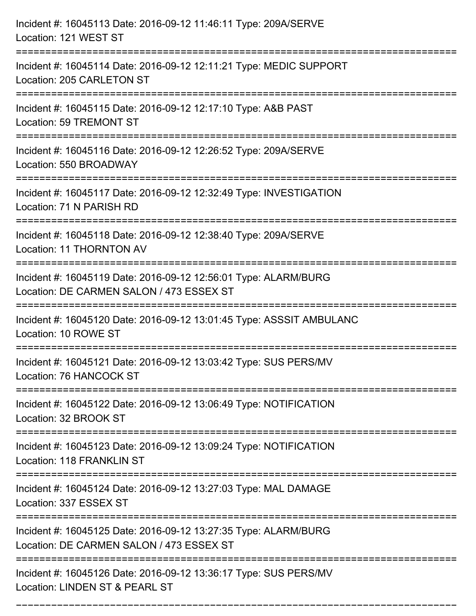| Incident #: 16045113 Date: 2016-09-12 11:46:11 Type: 209A/SERVE<br>Location: 121 WEST ST                                              |
|---------------------------------------------------------------------------------------------------------------------------------------|
| Incident #: 16045114 Date: 2016-09-12 12:11:21 Type: MEDIC SUPPORT<br>Location: 205 CARLETON ST                                       |
| Incident #: 16045115 Date: 2016-09-12 12:17:10 Type: A&B PAST<br>Location: 59 TREMONT ST<br>==================================        |
| Incident #: 16045116 Date: 2016-09-12 12:26:52 Type: 209A/SERVE<br>Location: 550 BROADWAY                                             |
| Incident #: 16045117 Date: 2016-09-12 12:32:49 Type: INVESTIGATION<br>Location: 71 N PARISH RD                                        |
| Incident #: 16045118 Date: 2016-09-12 12:38:40 Type: 209A/SERVE<br>Location: 11 THORNTON AV<br>====================================== |
| Incident #: 16045119 Date: 2016-09-12 12:56:01 Type: ALARM/BURG<br>Location: DE CARMEN SALON / 473 ESSEX ST                           |
| Incident #: 16045120 Date: 2016-09-12 13:01:45 Type: ASSSIT AMBULANC<br>Location: 10 ROWE ST                                          |
| Incident #: 16045121 Date: 2016-09-12 13:03:42 Type: SUS PERS/MV<br>Location: 76 HANCOCK ST                                           |
| Incident #: 16045122 Date: 2016-09-12 13:06:49 Type: NOTIFICATION<br>Location: 32 BROOK ST                                            |
| Incident #: 16045123 Date: 2016-09-12 13:09:24 Type: NOTIFICATION<br>Location: 118 FRANKLIN ST                                        |
| Incident #: 16045124 Date: 2016-09-12 13:27:03 Type: MAL DAMAGE<br>Location: 337 ESSEX ST                                             |
| Incident #: 16045125 Date: 2016-09-12 13:27:35 Type: ALARM/BURG<br>Location: DE CARMEN SALON / 473 ESSEX ST                           |
| Incident #: 16045126 Date: 2016-09-12 13:36:17 Type: SUS PERS/MV<br>Location: LINDEN ST & PEARL ST                                    |

===========================================================================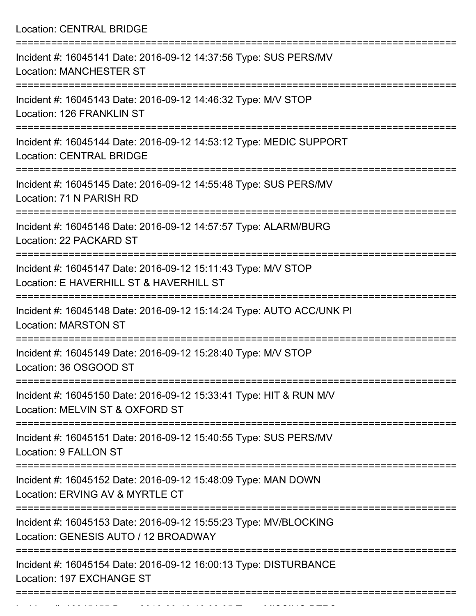Location: CENTRAL BRIDGE

| Incident #: 16045141 Date: 2016-09-12 14:37:56 Type: SUS PERS/MV<br><b>Location: MANCHESTER ST</b>       |
|----------------------------------------------------------------------------------------------------------|
| Incident #: 16045143 Date: 2016-09-12 14:46:32 Type: M/V STOP<br>Location: 126 FRANKLIN ST               |
| Incident #: 16045144 Date: 2016-09-12 14:53:12 Type: MEDIC SUPPORT<br><b>Location: CENTRAL BRIDGE</b>    |
| Incident #: 16045145 Date: 2016-09-12 14:55:48 Type: SUS PERS/MV<br>Location: 71 N PARISH RD             |
| Incident #: 16045146 Date: 2016-09-12 14:57:57 Type: ALARM/BURG<br>Location: 22 PACKARD ST               |
| Incident #: 16045147 Date: 2016-09-12 15:11:43 Type: M/V STOP<br>Location: E HAVERHILL ST & HAVERHILL ST |
| Incident #: 16045148 Date: 2016-09-12 15:14:24 Type: AUTO ACC/UNK PI<br><b>Location: MARSTON ST</b>      |
| Incident #: 16045149 Date: 2016-09-12 15:28:40 Type: M/V STOP<br>Location: 36 OSGOOD ST                  |
| Incident #: 16045150 Date: 2016-09-12 15:33:41 Type: HIT & RUN M/V<br>Location: MELVIN ST & OXFORD ST    |
| Incident #: 16045151 Date: 2016-09-12 15:40:55 Type: SUS PERS/MV<br>Location: 9 FALLON ST                |
| Incident #: 16045152 Date: 2016-09-12 15:48:09 Type: MAN DOWN<br>Location: ERVING AV & MYRTLE CT         |
| Incident #: 16045153 Date: 2016-09-12 15:55:23 Type: MV/BLOCKING<br>Location: GENESIS AUTO / 12 BROADWAY |
| Incident #: 16045154 Date: 2016-09-12 16:00:13 Type: DISTURBANCE<br>Location: 197 EXCHANGE ST            |
|                                                                                                          |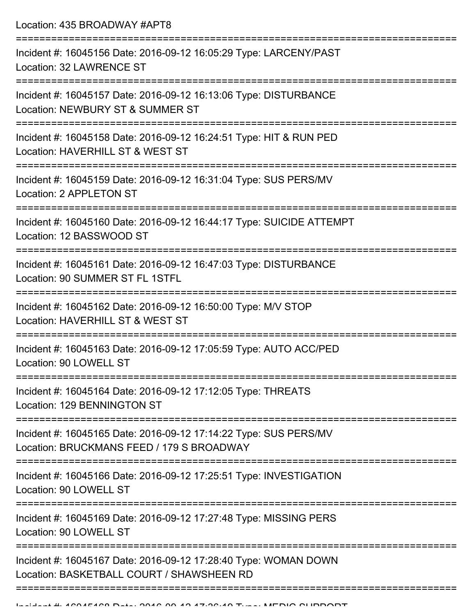Location: 435 BROADWAY #APT8 =========================================================================== Incident #: 16045156 Date: 2016-09-12 16:05:29 Type: LARCENY/PAST Location: 32 LAWRENCE ST =========================================================================== Incident #: 16045157 Date: 2016-09-12 16:13:06 Type: DISTURBANCE Location: NEWBURY ST & SUMMER ST =========================================================================== Incident #: 16045158 Date: 2016-09-12 16:24:51 Type: HIT & RUN PED Location: HAVERHILL ST & WEST ST =========================================================================== Incident #: 16045159 Date: 2016-09-12 16:31:04 Type: SUS PERS/MV Location: 2 APPLETON ST =========================================================================== Incident #: 16045160 Date: 2016-09-12 16:44:17 Type: SUICIDE ATTEMPT Location: 12 BASSWOOD ST =========================================================================== Incident #: 16045161 Date: 2016-09-12 16:47:03 Type: DISTURBANCE Location: 90 SUMMER ST FL 1STFL =========================================================================== Incident #: 16045162 Date: 2016-09-12 16:50:00 Type: M/V STOP Location: HAVERHILL ST & WEST ST =========================================================================== Incident #: 16045163 Date: 2016-09-12 17:05:59 Type: AUTO ACC/PED Location: 90 LOWELL ST =========================================================================== Incident #: 16045164 Date: 2016-09-12 17:12:05 Type: THREATS Location: 129 BENNINGTON ST =========================================================================== Incident #: 16045165 Date: 2016-09-12 17:14:22 Type: SUS PERS/MV Location: BRUCKMANS FEED / 179 S BROADWAY =========================================================================== Incident #: 16045166 Date: 2016-09-12 17:25:51 Type: INVESTIGATION Location: 90 LOWELL ST =========================================================================== Incident #: 16045169 Date: 2016-09-12 17:27:48 Type: MISSING PERS Location: 90 LOWELL ST =========================================================================== Incident #: 16045167 Date: 2016-09-12 17:28:40 Type: WOMAN DOWN Location: BASKETBALL COURT / SHAWSHEEN RD ===========================================================================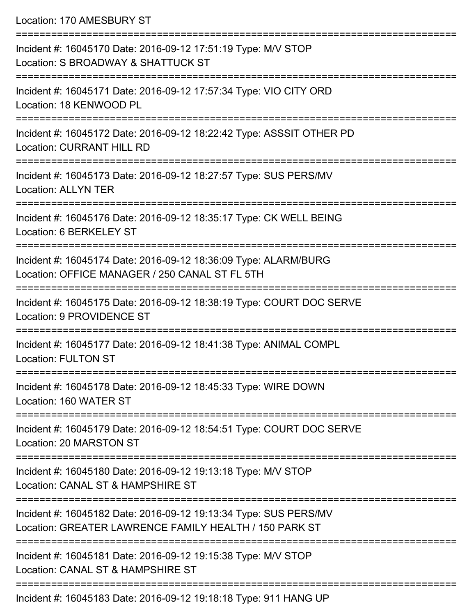Location: 170 AMESBURY ST

| Incident #: 16045170 Date: 2016-09-12 17:51:19 Type: M/V STOP<br>Location: S BROADWAY & SHATTUCK ST                        |
|----------------------------------------------------------------------------------------------------------------------------|
| Incident #: 16045171 Date: 2016-09-12 17:57:34 Type: VIO CITY ORD<br>Location: 18 KENWOOD PL                               |
| Incident #: 16045172 Date: 2016-09-12 18:22:42 Type: ASSSIT OTHER PD<br><b>Location: CURRANT HILL RD</b>                   |
| Incident #: 16045173 Date: 2016-09-12 18:27:57 Type: SUS PERS/MV<br><b>Location: ALLYN TER</b>                             |
| Incident #: 16045176 Date: 2016-09-12 18:35:17 Type: CK WELL BEING<br>Location: 6 BERKELEY ST                              |
| Incident #: 16045174 Date: 2016-09-12 18:36:09 Type: ALARM/BURG<br>Location: OFFICE MANAGER / 250 CANAL ST FL 5TH          |
| Incident #: 16045175 Date: 2016-09-12 18:38:19 Type: COURT DOC SERVE<br>Location: 9 PROVIDENCE ST                          |
| Incident #: 16045177 Date: 2016-09-12 18:41:38 Type: ANIMAL COMPL<br><b>Location: FULTON ST</b>                            |
| Incident #: 16045178 Date: 2016-09-12 18:45:33 Type: WIRE DOWN<br>Location: 160 WATER ST                                   |
| Incident #: 16045179 Date: 2016-09-12 18:54:51 Type: COURT DOC SERVE<br>Location: 20 MARSTON ST                            |
| Incident #: 16045180 Date: 2016-09-12 19:13:18 Type: M/V STOP<br>Location: CANAL ST & HAMPSHIRE ST                         |
| Incident #: 16045182 Date: 2016-09-12 19:13:34 Type: SUS PERS/MV<br>Location: GREATER LAWRENCE FAMILY HEALTH / 150 PARK ST |
| Incident #: 16045181 Date: 2016-09-12 19:15:38 Type: M/V STOP<br>Location: CANAL ST & HAMPSHIRE ST                         |
| Incident #: 16045183 Date: 2016-09-12 19:18:18 Type: 911 HANG UP                                                           |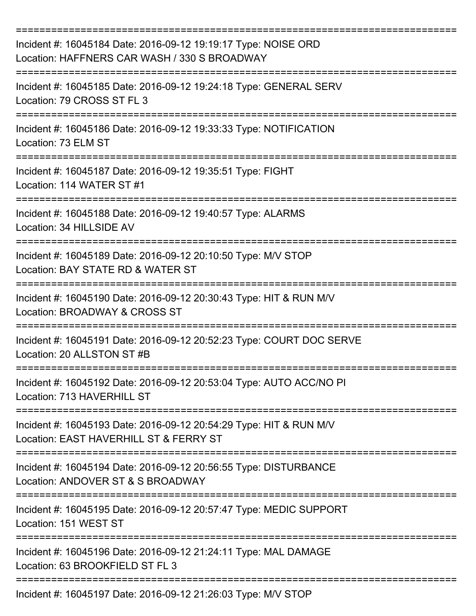| Incident #: 16045184 Date: 2016-09-12 19:19:17 Type: NOISE ORD<br>Location: HAFFNERS CAR WASH / 330 S BROADWAY |
|----------------------------------------------------------------------------------------------------------------|
| Incident #: 16045185 Date: 2016-09-12 19:24:18 Type: GENERAL SERV<br>Location: 79 CROSS ST FL 3                |
| Incident #: 16045186 Date: 2016-09-12 19:33:33 Type: NOTIFICATION<br>Location: 73 ELM ST                       |
| Incident #: 16045187 Date: 2016-09-12 19:35:51 Type: FIGHT<br>Location: 114 WATER ST #1                        |
| Incident #: 16045188 Date: 2016-09-12 19:40:57 Type: ALARMS<br>Location: 34 HILLSIDE AV<br>--------            |
| Incident #: 16045189 Date: 2016-09-12 20:10:50 Type: M/V STOP<br>Location: BAY STATE RD & WATER ST             |
| Incident #: 16045190 Date: 2016-09-12 20:30:43 Type: HIT & RUN M/V<br>Location: BROADWAY & CROSS ST            |
| Incident #: 16045191 Date: 2016-09-12 20:52:23 Type: COURT DOC SERVE<br>Location: 20 ALLSTON ST #B             |
| Incident #: 16045192 Date: 2016-09-12 20:53:04 Type: AUTO ACC/NO PI<br>Location: 713 HAVERHILL ST              |
| Incident #: 16045193 Date: 2016-09-12 20:54:29 Type: HIT & RUN M/V<br>Location: EAST HAVERHILL ST & FERRY ST   |
| Incident #: 16045194 Date: 2016-09-12 20:56:55 Type: DISTURBANCE<br>Location: ANDOVER ST & S BROADWAY          |
| Incident #: 16045195 Date: 2016-09-12 20:57:47 Type: MEDIC SUPPORT<br>Location: 151 WEST ST                    |
| Incident #: 16045196 Date: 2016-09-12 21:24:11 Type: MAL DAMAGE<br>Location: 63 BROOKFIELD ST FL 3             |
| Incident #: 16045197 Date: 2016-09-12 21:26:03 Type: M/V STOP                                                  |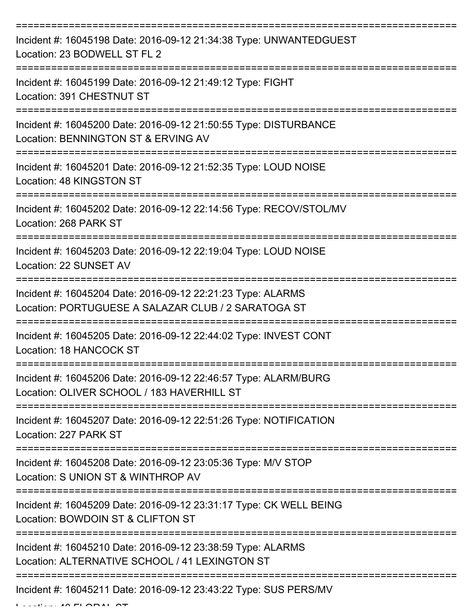| Incident #: 16045198 Date: 2016-09-12 21:34:38 Type: UNWANTEDGUEST<br>Location: 23 BODWELL ST FL 2                 |
|--------------------------------------------------------------------------------------------------------------------|
| Incident #: 16045199 Date: 2016-09-12 21:49:12 Type: FIGHT<br>Location: 391 CHESTNUT ST                            |
| Incident #: 16045200 Date: 2016-09-12 21:50:55 Type: DISTURBANCE<br>Location: BENNINGTON ST & ERVING AV            |
| Incident #: 16045201 Date: 2016-09-12 21:52:35 Type: LOUD NOISE<br>Location: 48 KINGSTON ST                        |
| Incident #: 16045202 Date: 2016-09-12 22:14:56 Type: RECOV/STOL/MV<br>Location: 268 PARK ST                        |
| Incident #: 16045203 Date: 2016-09-12 22:19:04 Type: LOUD NOISE<br>Location: 22 SUNSET AV                          |
| Incident #: 16045204 Date: 2016-09-12 22:21:23 Type: ALARMS<br>Location: PORTUGUESE A SALAZAR CLUB / 2 SARATOGA ST |
| Incident #: 16045205 Date: 2016-09-12 22:44:02 Type: INVEST CONT<br>Location: 18 HANCOCK ST                        |
| Incident #: 16045206 Date: 2016-09-12 22:46:57 Type: ALARM/BURG<br>Location: OLIVER SCHOOL / 183 HAVERHILL ST      |
| Incident #: 16045207 Date: 2016-09-12 22:51:26 Type: NOTIFICATION<br>Location: 227 PARK ST                         |
| Incident #: 16045208 Date: 2016-09-12 23:05:36 Type: M/V STOP<br>Location: S UNION ST & WINTHROP AV                |
| Incident #: 16045209 Date: 2016-09-12 23:31:17 Type: CK WELL BEING<br>Location: BOWDOIN ST & CLIFTON ST            |
| Incident #: 16045210 Date: 2016-09-12 23:38:59 Type: ALARMS<br>Location: ALTERNATIVE SCHOOL / 41 LEXINGTON ST      |
| Incident #: 16045211 Date: 2016-09-12 23:43:22 Type: SUS PERS/MV                                                   |